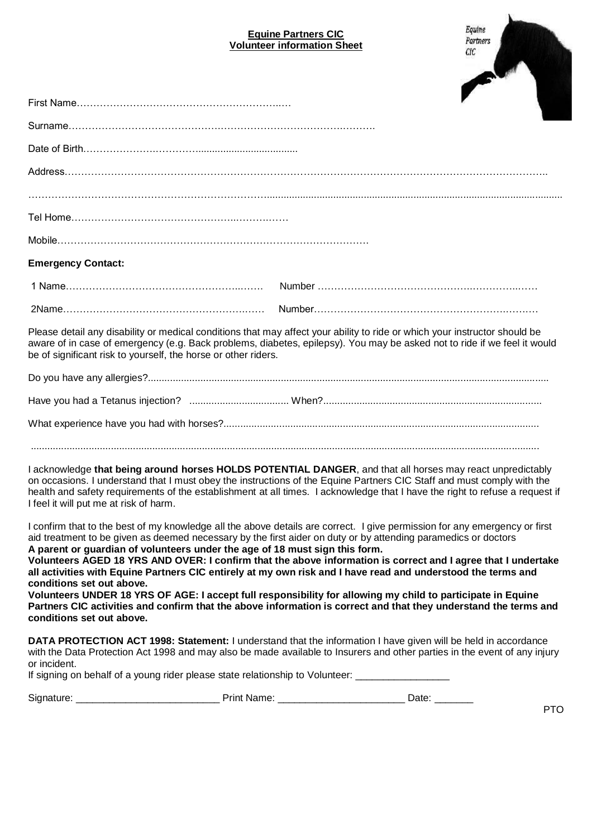## **Equine Partners CIC Volunteer information Sheet**



| <b>Emergency Contact:</b>                                                                                                             |                                                                                                                                                                                                                                                                                                                                                                                                                                                                                                                                                                                                                                                                                                                  |
|---------------------------------------------------------------------------------------------------------------------------------------|------------------------------------------------------------------------------------------------------------------------------------------------------------------------------------------------------------------------------------------------------------------------------------------------------------------------------------------------------------------------------------------------------------------------------------------------------------------------------------------------------------------------------------------------------------------------------------------------------------------------------------------------------------------------------------------------------------------|
|                                                                                                                                       |                                                                                                                                                                                                                                                                                                                                                                                                                                                                                                                                                                                                                                                                                                                  |
|                                                                                                                                       |                                                                                                                                                                                                                                                                                                                                                                                                                                                                                                                                                                                                                                                                                                                  |
| be of significant risk to yourself, the horse or other riders.                                                                        | Please detail any disability or medical conditions that may affect your ability to ride or which your instructor should be<br>aware of in case of emergency (e.g. Back problems, diabetes, epilepsy). You may be asked not to ride if we feel it would                                                                                                                                                                                                                                                                                                                                                                                                                                                           |
|                                                                                                                                       |                                                                                                                                                                                                                                                                                                                                                                                                                                                                                                                                                                                                                                                                                                                  |
|                                                                                                                                       |                                                                                                                                                                                                                                                                                                                                                                                                                                                                                                                                                                                                                                                                                                                  |
|                                                                                                                                       |                                                                                                                                                                                                                                                                                                                                                                                                                                                                                                                                                                                                                                                                                                                  |
| I feel it will put me at risk of harm.                                                                                                | I acknowledge that being around horses HOLDS POTENTIAL DANGER, and that all horses may react unpredictably<br>on occasions. I understand that I must obey the instructions of the Equine Partners CIC Staff and must comply with the<br>health and safety requirements of the establishment at all times. I acknowledge that I have the right to refuse a request if                                                                                                                                                                                                                                                                                                                                             |
| A parent or guardian of volunteers under the age of 18 must sign this form.<br>conditions set out above.<br>conditions set out above. | I confirm that to the best of my knowledge all the above details are correct. I give permission for any emergency or first<br>aid treatment to be given as deemed necessary by the first aider on duty or by attending paramedics or doctors<br>Volunteers AGED 18 YRS AND OVER: I confirm that the above information is correct and I agree that I undertake<br>all activities with Equine Partners CIC entirely at my own risk and I have read and understood the terms and<br>Volunteers UNDER 18 YRS OF AGE: I accept full responsibility for allowing my child to participate in Equine<br>Partners CIC activities and confirm that the above information is correct and that they understand the terms and |
|                                                                                                                                       | DATA PROTECTION ACT 1998: Statement: I understand that the information I have given will be held in accordance<br>with the Data Protection Act 1998 and may also be made available to Insurers and other parties in the event of any injury                                                                                                                                                                                                                                                                                                                                                                                                                                                                      |

| Signature: | . rint ا          | $-1$ |  |
|------------|-------------------|------|--|
|            | Name <sup>®</sup> | Jate |  |

If signing on behalf of a young rider please state relationship to Volunteer: \_\_\_\_\_\_\_\_\_\_\_\_\_\_\_\_\_\_\_\_\_\_\_\_\_\_\_\_\_\_\_\_

or incident.

PTO